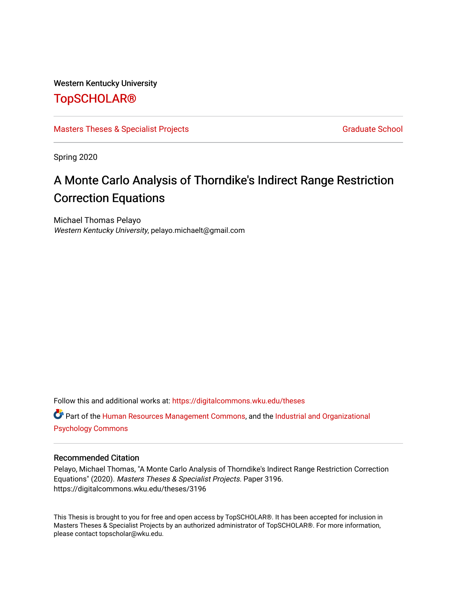#### Western Kentucky University

## [TopSCHOLAR®](https://digitalcommons.wku.edu/)

#### [Masters Theses & Specialist Projects](https://digitalcommons.wku.edu/theses) [Graduate School](https://digitalcommons.wku.edu/Graduate) Graduate School

Spring 2020

# A Monte Carlo Analysis of Thorndike's Indirect Range Restriction Correction Equations

Michael Thomas Pelayo Western Kentucky University, pelayo.michaelt@gmail.com

Follow this and additional works at: [https://digitalcommons.wku.edu/theses](https://digitalcommons.wku.edu/theses?utm_source=digitalcommons.wku.edu%2Ftheses%2F3196&utm_medium=PDF&utm_campaign=PDFCoverPages) 

Part of the [Human Resources Management Commons,](http://network.bepress.com/hgg/discipline/633?utm_source=digitalcommons.wku.edu%2Ftheses%2F3196&utm_medium=PDF&utm_campaign=PDFCoverPages) and the [Industrial and Organizational](http://network.bepress.com/hgg/discipline/412?utm_source=digitalcommons.wku.edu%2Ftheses%2F3196&utm_medium=PDF&utm_campaign=PDFCoverPages) [Psychology Commons](http://network.bepress.com/hgg/discipline/412?utm_source=digitalcommons.wku.edu%2Ftheses%2F3196&utm_medium=PDF&utm_campaign=PDFCoverPages) 

#### Recommended Citation

Pelayo, Michael Thomas, "A Monte Carlo Analysis of Thorndike's Indirect Range Restriction Correction Equations" (2020). Masters Theses & Specialist Projects. Paper 3196. https://digitalcommons.wku.edu/theses/3196

This Thesis is brought to you for free and open access by TopSCHOLAR®. It has been accepted for inclusion in Masters Theses & Specialist Projects by an authorized administrator of TopSCHOLAR®. For more information, please contact topscholar@wku.edu.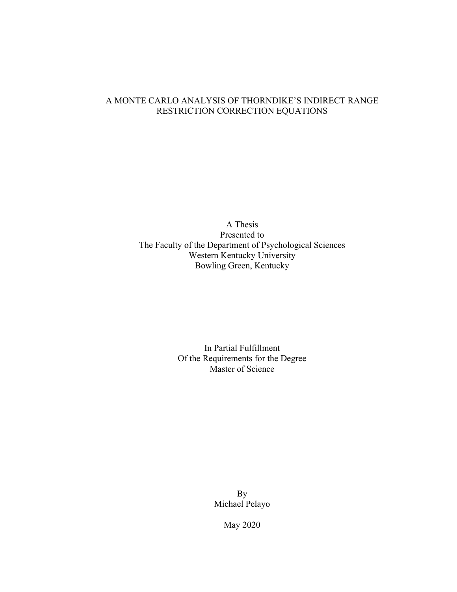### A MONTE CARLO ANALYSIS OF THORNDIKE'S INDIRECT RANGE RESTRICTION CORRECTION EQUATIONS

A Thesis Presented to The Faculty of the Department of Psychological Sciences Western Kentucky University Bowling Green, Kentucky

> In Partial Fulfillment Of the Requirements for the Degree Master of Science

> > By Michael Pelayo

> > > May 2020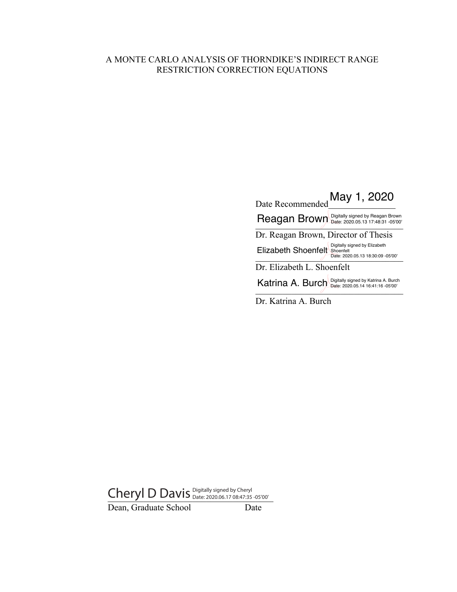### A MONTE CARLO ANALYSIS OF THORNDIKE'S INDIRECT RANGE RESTRICTION CORRECTION EQUATIONS

Date Recommended May 1, 2020 Reagan Brown Digitally signed by Reagan Brown **Reagan Brown** Dr. Reagan Brown, Director of Thesis Date: 2020.05.13 18:30:09 -05'00' Dr. Elizabeth L. Shoenfelt Katrina A. Burch Digitally signed by Katrina A. Burch  $\frac{\text{Ric}_1}{\text{Data: }2020.05.14\,16.41:16\,05'00'}}$ Elizabeth Shoenfelt Digitally signed by Elizabeth<br>
Date: 2020.05.13 18:30:09 -05'00'

Dr. Katrina A. Burch

Cheryl D Davis Digitally signed by Cheryl Cheryl  $\mathsf{D}$ 

Dean, Graduate School Date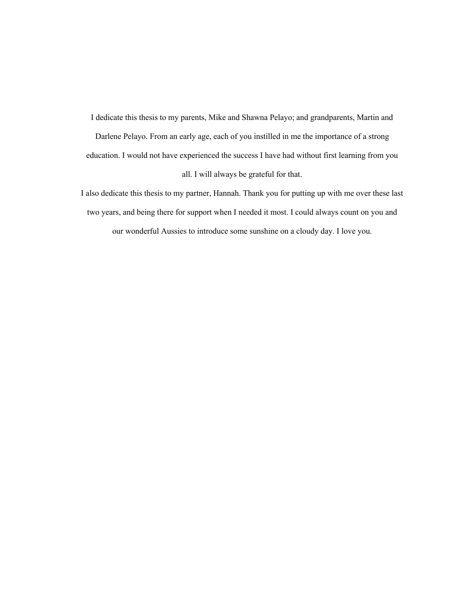I dedicate this thesis to my parents, Mike and Shawna Pelayo; and grandparents, Martin and Darlene Pelayo. From an early age, each of you instilled in me the importance of a strong education. I would not have experienced the success I have had without first learning from you all. I will always be grateful for that.

I also dedicate this thesis to my partner, Hannah. Thank you for putting up with me over these last two years, and being there for support when I needed it most. I could always count on you and our wonderful Aussies to introduce some sunshine on a cloudy day. I love you.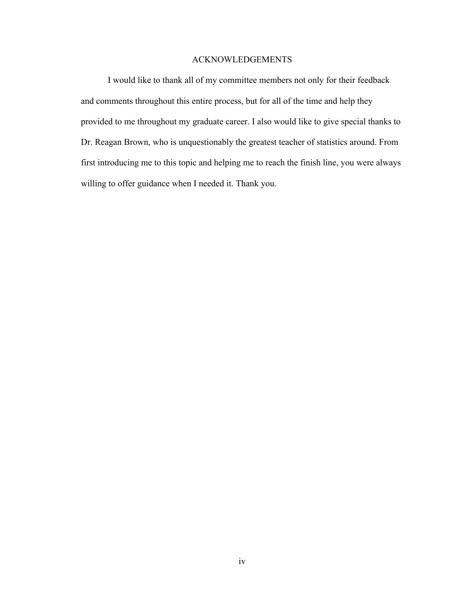#### ACKNOWLEDGEMENTS

I would like to thank all of my committee members not only for their feedback and comments throughout this entire process, but for all of the time and help they provided to me throughout my graduate career. I also would like to give special thanks to Dr. Reagan Brown, who is unquestionably the greatest teacher of statistics around. From first introducing me to this topic and helping me to reach the finish line, you were always willing to offer guidance when I needed it. Thank you.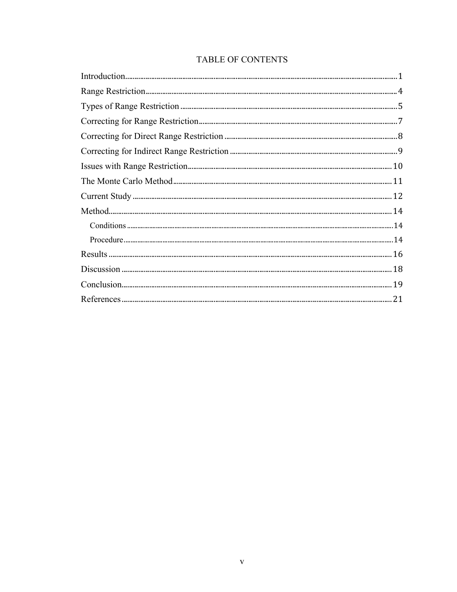## TABLE OF CONTENTS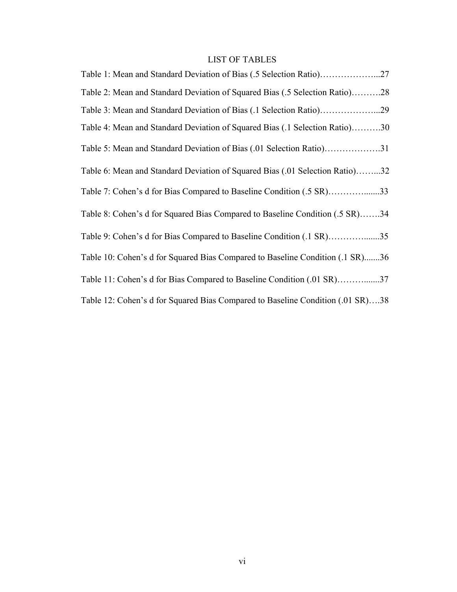### LIST OF TABLES

| Table 1: Mean and Standard Deviation of Bias (.5 Selection Ratio)27            |
|--------------------------------------------------------------------------------|
| Table 2: Mean and Standard Deviation of Squared Bias (.5 Selection Ratio)28    |
| Table 3: Mean and Standard Deviation of Bias (.1 Selection Ratio)29            |
| Table 4: Mean and Standard Deviation of Squared Bias (.1 Selection Ratio)30    |
| Table 5: Mean and Standard Deviation of Bias (.01 Selection Ratio)31           |
| Table 6: Mean and Standard Deviation of Squared Bias (.01 Selection Ratio)32   |
| Table 7: Cohen's d for Bias Compared to Baseline Condition (.5 SR)33           |
| Table 8: Cohen's d for Squared Bias Compared to Baseline Condition (.5 SR)34   |
| Table 9: Cohen's d for Bias Compared to Baseline Condition (.1 SR)35           |
| Table 10: Cohen's d for Squared Bias Compared to Baseline Condition (.1 SR)36  |
| Table 11: Cohen's d for Bias Compared to Baseline Condition (.01 SR)37         |
| Table 12: Cohen's d for Squared Bias Compared to Baseline Condition (.01 SR)38 |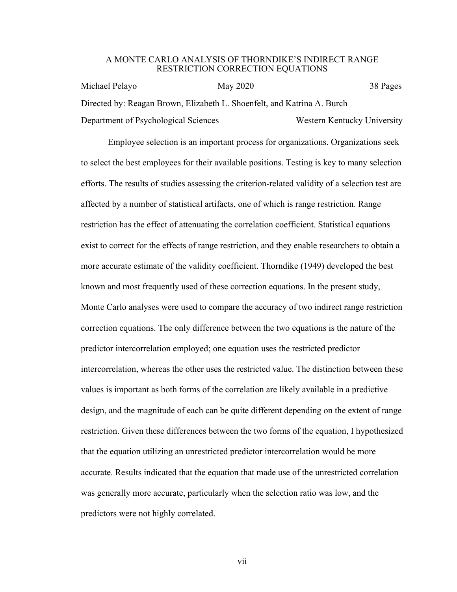#### A MONTE CARLO ANALYSIS OF THORNDIKE'S INDIRECT RANGE RESTRICTION CORRECTION EQUATIONS

Michael Pelayo May 2020 38 Pages Directed by: Reagan Brown, Elizabeth L. Shoenfelt, and Katrina A. Burch Department of Psychological Sciences Western Kentucky University

Employee selection is an important process for organizations. Organizations seek to select the best employees for their available positions. Testing is key to many selection efforts. The results of studies assessing the criterion-related validity of a selection test are affected by a number of statistical artifacts, one of which is range restriction. Range restriction has the effect of attenuating the correlation coefficient. Statistical equations exist to correct for the effects of range restriction, and they enable researchers to obtain a more accurate estimate of the validity coefficient. Thorndike (1949) developed the best known and most frequently used of these correction equations. In the present study, Monte Carlo analyses were used to compare the accuracy of two indirect range restriction correction equations. The only difference between the two equations is the nature of the predictor intercorrelation employed; one equation uses the restricted predictor intercorrelation, whereas the other uses the restricted value. The distinction between these values is important as both forms of the correlation are likely available in a predictive design, and the magnitude of each can be quite different depending on the extent of range restriction. Given these differences between the two forms of the equation, I hypothesized that the equation utilizing an unrestricted predictor intercorrelation would be more accurate. Results indicated that the equation that made use of the unrestricted correlation was generally more accurate, particularly when the selection ratio was low, and the predictors were not highly correlated.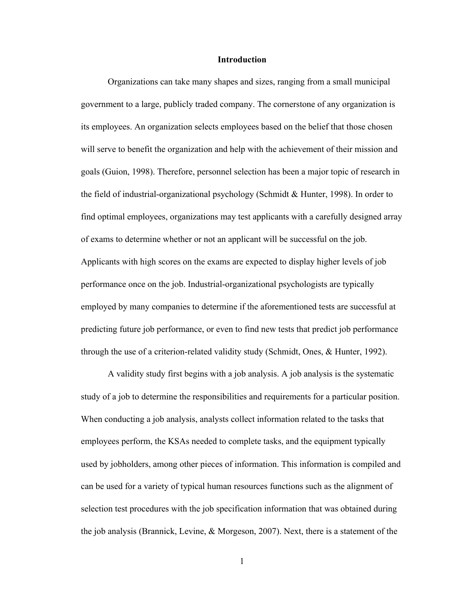#### **Introduction**

Organizations can take many shapes and sizes, ranging from a small municipal government to a large, publicly traded company. The cornerstone of any organization is its employees. An organization selects employees based on the belief that those chosen will serve to benefit the organization and help with the achievement of their mission and goals (Guion, 1998). Therefore, personnel selection has been a major topic of research in the field of industrial-organizational psychology (Schmidt & Hunter, 1998). In order to find optimal employees, organizations may test applicants with a carefully designed array of exams to determine whether or not an applicant will be successful on the job. Applicants with high scores on the exams are expected to display higher levels of job performance once on the job. Industrial-organizational psychologists are typically employed by many companies to determine if the aforementioned tests are successful at predicting future job performance, or even to find new tests that predict job performance through the use of a criterion-related validity study (Schmidt, Ones, & Hunter, 1992).

A validity study first begins with a job analysis. A job analysis is the systematic study of a job to determine the responsibilities and requirements for a particular position. When conducting a job analysis, analysts collect information related to the tasks that employees perform, the KSAs needed to complete tasks, and the equipment typically used by jobholders, among other pieces of information. This information is compiled and can be used for a variety of typical human resources functions such as the alignment of selection test procedures with the job specification information that was obtained during the job analysis (Brannick, Levine, & Morgeson, 2007). Next, there is a statement of the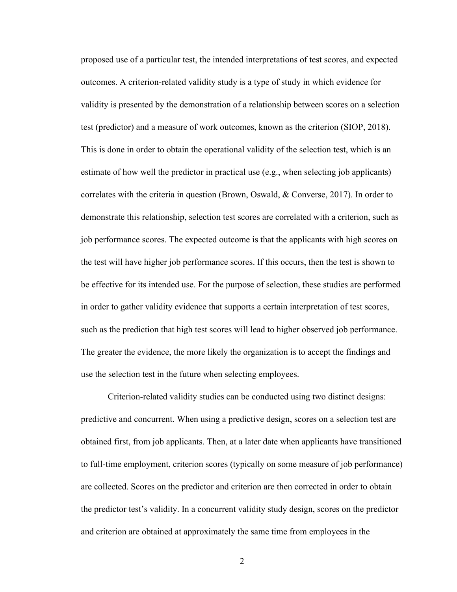proposed use of a particular test, the intended interpretations of test scores, and expected outcomes. A criterion-related validity study is a type of study in which evidence for validity is presented by the demonstration of a relationship between scores on a selection test (predictor) and a measure of work outcomes, known as the criterion (SIOP, 2018). This is done in order to obtain the operational validity of the selection test, which is an estimate of how well the predictor in practical use (e.g., when selecting job applicants) correlates with the criteria in question (Brown, Oswald, & Converse, 2017). In order to demonstrate this relationship, selection test scores are correlated with a criterion, such as job performance scores. The expected outcome is that the applicants with high scores on the test will have higher job performance scores. If this occurs, then the test is shown to be effective for its intended use. For the purpose of selection, these studies are performed in order to gather validity evidence that supports a certain interpretation of test scores, such as the prediction that high test scores will lead to higher observed job performance. The greater the evidence, the more likely the organization is to accept the findings and use the selection test in the future when selecting employees.

Criterion-related validity studies can be conducted using two distinct designs: predictive and concurrent. When using a predictive design, scores on a selection test are obtained first, from job applicants. Then, at a later date when applicants have transitioned to full-time employment, criterion scores (typically on some measure of job performance) are collected. Scores on the predictor and criterion are then corrected in order to obtain the predictor test's validity. In a concurrent validity study design, scores on the predictor and criterion are obtained at approximately the same time from employees in the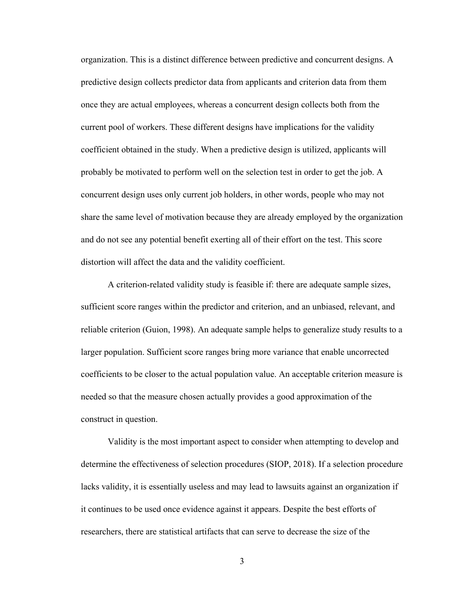organization. This is a distinct difference between predictive and concurrent designs. A predictive design collects predictor data from applicants and criterion data from them once they are actual employees, whereas a concurrent design collects both from the current pool of workers. These different designs have implications for the validity coefficient obtained in the study. When a predictive design is utilized, applicants will probably be motivated to perform well on the selection test in order to get the job. A concurrent design uses only current job holders, in other words, people who may not share the same level of motivation because they are already employed by the organization and do not see any potential benefit exerting all of their effort on the test. This score distortion will affect the data and the validity coefficient.

A criterion-related validity study is feasible if: there are adequate sample sizes, sufficient score ranges within the predictor and criterion, and an unbiased, relevant, and reliable criterion (Guion, 1998). An adequate sample helps to generalize study results to a larger population. Sufficient score ranges bring more variance that enable uncorrected coefficients to be closer to the actual population value. An acceptable criterion measure is needed so that the measure chosen actually provides a good approximation of the construct in question.

Validity is the most important aspect to consider when attempting to develop and determine the effectiveness of selection procedures (SIOP, 2018). If a selection procedure lacks validity, it is essentially useless and may lead to lawsuits against an organization if it continues to be used once evidence against it appears. Despite the best efforts of researchers, there are statistical artifacts that can serve to decrease the size of the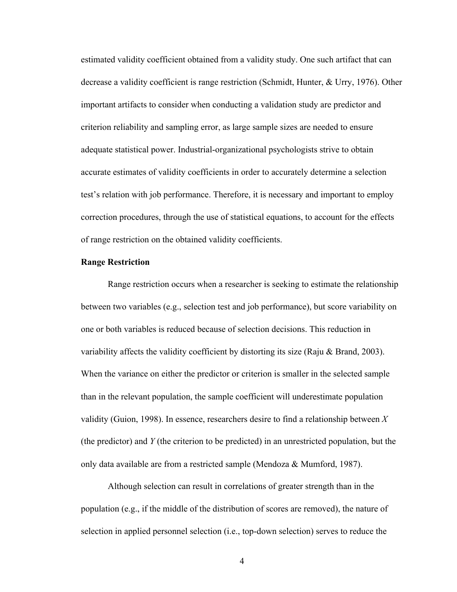estimated validity coefficient obtained from a validity study. One such artifact that can decrease a validity coefficient is range restriction (Schmidt, Hunter, & Urry, 1976). Other important artifacts to consider when conducting a validation study are predictor and criterion reliability and sampling error, as large sample sizes are needed to ensure adequate statistical power. Industrial-organizational psychologists strive to obtain accurate estimates of validity coefficients in order to accurately determine a selection test's relation with job performance. Therefore, it is necessary and important to employ correction procedures, through the use of statistical equations, to account for the effects of range restriction on the obtained validity coefficients.

#### **Range Restriction**

Range restriction occurs when a researcher is seeking to estimate the relationship between two variables (e.g., selection test and job performance), but score variability on one or both variables is reduced because of selection decisions. This reduction in variability affects the validity coefficient by distorting its size (Raju & Brand, 2003). When the variance on either the predictor or criterion is smaller in the selected sample than in the relevant population, the sample coefficient will underestimate population validity (Guion, 1998). In essence, researchers desire to find a relationship between *X* (the predictor) and *Y* (the criterion to be predicted) in an unrestricted population, but the only data available are from a restricted sample (Mendoza & Mumford, 1987).

Although selection can result in correlations of greater strength than in the population (e.g., if the middle of the distribution of scores are removed), the nature of selection in applied personnel selection (i.e., top-down selection) serves to reduce the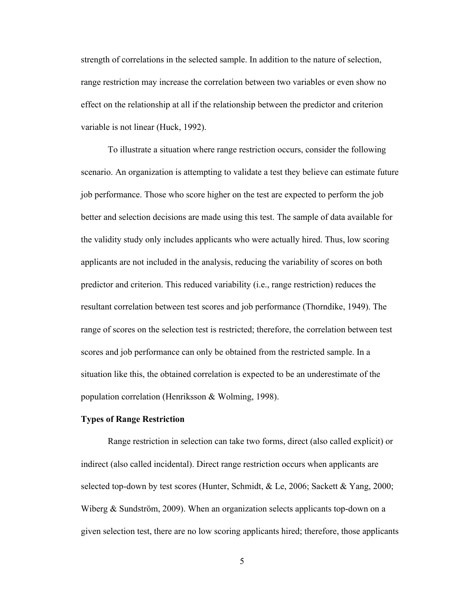strength of correlations in the selected sample. In addition to the nature of selection, range restriction may increase the correlation between two variables or even show no effect on the relationship at all if the relationship between the predictor and criterion variable is not linear (Huck, 1992).

To illustrate a situation where range restriction occurs, consider the following scenario. An organization is attempting to validate a test they believe can estimate future job performance. Those who score higher on the test are expected to perform the job better and selection decisions are made using this test. The sample of data available for the validity study only includes applicants who were actually hired. Thus, low scoring applicants are not included in the analysis, reducing the variability of scores on both predictor and criterion. This reduced variability (i.e., range restriction) reduces the resultant correlation between test scores and job performance (Thorndike, 1949). The range of scores on the selection test is restricted; therefore, the correlation between test scores and job performance can only be obtained from the restricted sample. In a situation like this, the obtained correlation is expected to be an underestimate of the population correlation (Henriksson & Wolming, 1998).

#### **Types of Range Restriction**

Range restriction in selection can take two forms, direct (also called explicit) or indirect (also called incidental). Direct range restriction occurs when applicants are selected top-down by test scores (Hunter, Schmidt, & Le, 2006; Sackett & Yang, 2000; Wiberg & Sundström, 2009). When an organization selects applicants top-down on a given selection test, there are no low scoring applicants hired; therefore, those applicants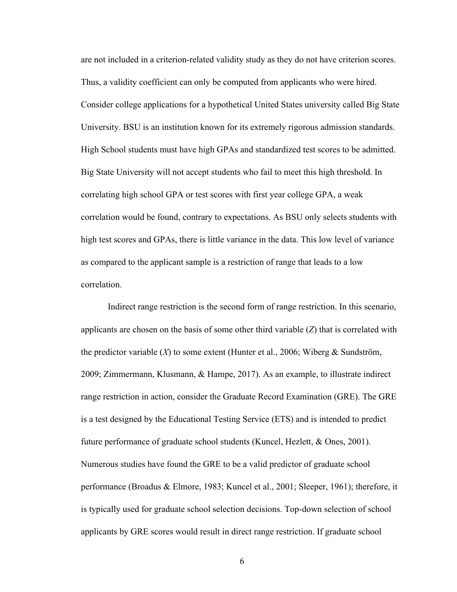are not included in a criterion-related validity study as they do not have criterion scores. Thus, a validity coefficient can only be computed from applicants who were hired. Consider college applications for a hypothetical United States university called Big State University. BSU is an institution known for its extremely rigorous admission standards. High School students must have high GPAs and standardized test scores to be admitted. Big State University will not accept students who fail to meet this high threshold. In correlating high school GPA or test scores with first year college GPA, a weak correlation would be found, contrary to expectations. As BSU only selects students with high test scores and GPAs, there is little variance in the data. This low level of variance as compared to the applicant sample is a restriction of range that leads to a low correlation.

Indirect range restriction is the second form of range restriction. In this scenario, applicants are chosen on the basis of some other third variable (*Z*) that is correlated with the predictor variable (*X*) to some extent (Hunter et al., 2006; Wiberg & Sundström, 2009; Zimmermann, Klusmann, & Hampe, 2017). As an example, to illustrate indirect range restriction in action, consider the Graduate Record Examination (GRE). The GRE is a test designed by the Educational Testing Service (ETS) and is intended to predict future performance of graduate school students (Kuncel, Hezlett, & Ones, 2001). Numerous studies have found the GRE to be a valid predictor of graduate school performance (Broadus & Elmore, 1983; Kuncel et al., 2001; Sleeper, 1961); therefore, it is typically used for graduate school selection decisions. Top-down selection of school applicants by GRE scores would result in direct range restriction. If graduate school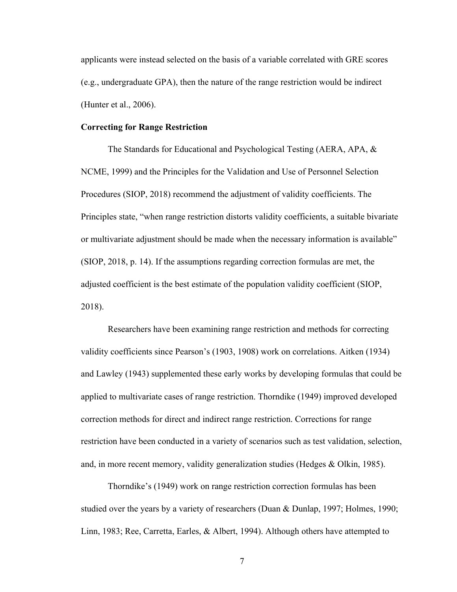applicants were instead selected on the basis of a variable correlated with GRE scores (e.g., undergraduate GPA), then the nature of the range restriction would be indirect (Hunter et al., 2006).

#### **Correcting for Range Restriction**

The Standards for Educational and Psychological Testing (AERA, APA, & NCME, 1999) and the Principles for the Validation and Use of Personnel Selection Procedures (SIOP, 2018) recommend the adjustment of validity coefficients. The Principles state, "when range restriction distorts validity coefficients, a suitable bivariate or multivariate adjustment should be made when the necessary information is available" (SIOP, 2018, p. 14). If the assumptions regarding correction formulas are met, the adjusted coefficient is the best estimate of the population validity coefficient (SIOP, 2018).

Researchers have been examining range restriction and methods for correcting validity coefficients since Pearson's (1903, 1908) work on correlations. Aitken (1934) and Lawley (1943) supplemented these early works by developing formulas that could be applied to multivariate cases of range restriction. Thorndike (1949) improved developed correction methods for direct and indirect range restriction. Corrections for range restriction have been conducted in a variety of scenarios such as test validation, selection, and, in more recent memory, validity generalization studies (Hedges & Olkin, 1985).

Thorndike's (1949) work on range restriction correction formulas has been studied over the years by a variety of researchers (Duan & Dunlap, 1997; Holmes, 1990; Linn, 1983; Ree, Carretta, Earles, & Albert, 1994). Although others have attempted to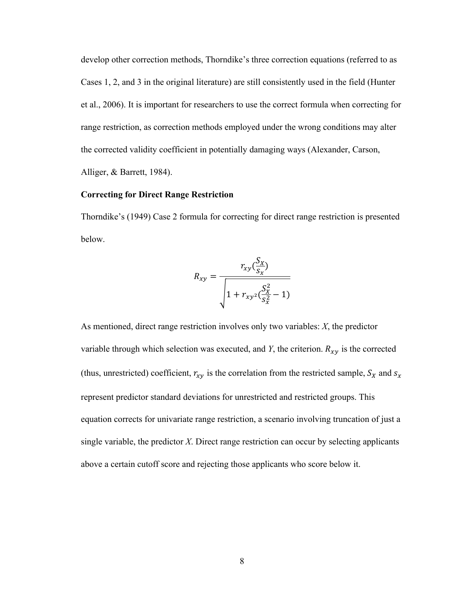develop other correction methods, Thorndike's three correction equations (referred to as Cases 1, 2, and 3 in the original literature) are still consistently used in the field (Hunter et al., 2006). It is important for researchers to use the correct formula when correcting for range restriction, as correction methods employed under the wrong conditions may alter the corrected validity coefficient in potentially damaging ways (Alexander, Carson, Alliger, & Barrett, 1984).

#### **Correcting for Direct Range Restriction**

Thorndike's (1949) Case 2 formula for correcting for direct range restriction is presented below.

$$
R_{xy} = \frac{r_{xy}(\frac{S_x}{S_x})}{\sqrt{1 + r_{xy^2}(\frac{S_x^2}{S_x^2} - 1)}}
$$

As mentioned, direct range restriction involves only two variables: *X*, the predictor variable through which selection was executed, and *Y*, the criterion.  $R_{xy}$  is the corrected (thus, unrestricted) coefficient,  $r_{xy}$  is the correlation from the restricted sample,  $S_X$  and  $S_X$ represent predictor standard deviations for unrestricted and restricted groups. This equation corrects for univariate range restriction, a scenario involving truncation of just a single variable, the predictor *X*. Direct range restriction can occur by selecting applicants above a certain cutoff score and rejecting those applicants who score below it.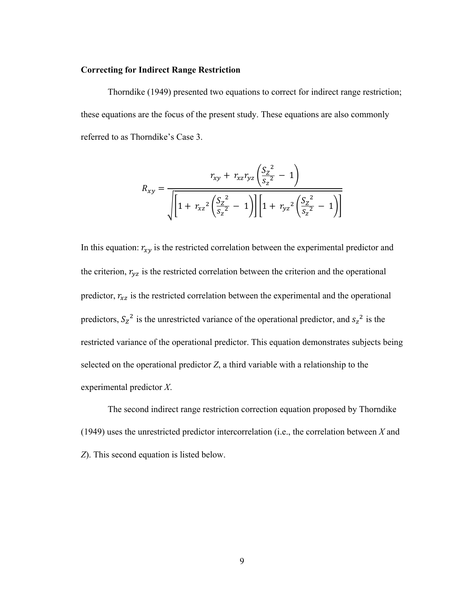#### **Correcting for Indirect Range Restriction**

Thorndike (1949) presented two equations to correct for indirect range restriction; these equations are the focus of the present study. These equations are also commonly referred to as Thorndike's Case 3.

$$
R_{xy} = \frac{r_{xy} + r_{xz}r_{yz} \left(\frac{S_z^2}{S_z^2} - 1\right)}{\sqrt{\left[1 + r_{xz}^2 \left(\frac{S_z^2}{S_z^2} - 1\right)\right] \left[1 + r_{yz}^2 \left(\frac{S_z^2}{S_z^2} - 1\right)\right]}}
$$

In this equation:  $r_{xy}$  is the restricted correlation between the experimental predictor and the criterion,  $r_{yz}$  is the restricted correlation between the criterion and the operational predictor,  $r_{xz}$  is the restricted correlation between the experimental and the operational predictors,  $S_z^2$  is the unrestricted variance of the operational predictor, and  $S_z^2$  is the restricted variance of the operational predictor. This equation demonstrates subjects being selected on the operational predictor *Z*, a third variable with a relationship to the experimental predictor *X*.

The second indirect range restriction correction equation proposed by Thorndike (1949) uses the unrestricted predictor intercorrelation (i.e., the correlation between *X* and *Z*). This second equation is listed below.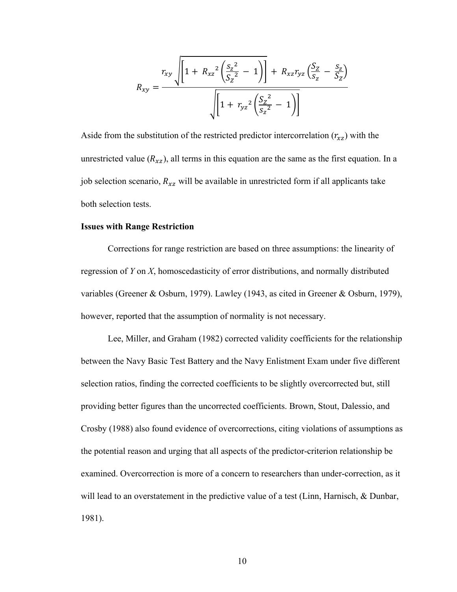$$
R_{xy} = \frac{r_{xy} \sqrt{\left[1 + R_{xz}^2 \left(\frac{S_z^2}{S_z^2} - 1\right)\right]} + R_{xz} r_{yz} \left(\frac{S_z}{S_z} - \frac{S_z}{S_z}\right)}{\sqrt{\left[1 + r_{yz}^2 \left(\frac{S_z^2}{S_z^2} - 1\right)\right]}}
$$

Aside from the substitution of the restricted predictor intercorrelation  $(r_{xz})$  with the unrestricted value  $(R_{xz})$ , all terms in this equation are the same as the first equation. In a job selection scenario,  $R_{xz}$  will be available in unrestricted form if all applicants take both selection tests.

#### **Issues with Range Restriction**

Corrections for range restriction are based on three assumptions: the linearity of regression of *Y* on *X*, homoscedasticity of error distributions, and normally distributed variables (Greener & Osburn, 1979). Lawley (1943, as cited in Greener & Osburn, 1979), however, reported that the assumption of normality is not necessary.

Lee, Miller, and Graham (1982) corrected validity coefficients for the relationship between the Navy Basic Test Battery and the Navy Enlistment Exam under five different selection ratios, finding the corrected coefficients to be slightly overcorrected but, still providing better figures than the uncorrected coefficients. Brown, Stout, Dalessio, and Crosby (1988) also found evidence of overcorrections, citing violations of assumptions as the potential reason and urging that all aspects of the predictor-criterion relationship be examined. Overcorrection is more of a concern to researchers than under-correction, as it will lead to an overstatement in the predictive value of a test (Linn, Harnisch, & Dunbar, 1981).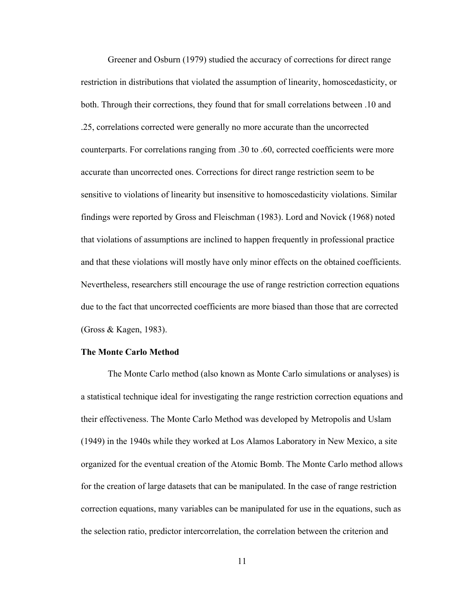Greener and Osburn (1979) studied the accuracy of corrections for direct range restriction in distributions that violated the assumption of linearity, homoscedasticity, or both. Through their corrections, they found that for small correlations between .10 and .25, correlations corrected were generally no more accurate than the uncorrected counterparts. For correlations ranging from .30 to .60, corrected coefficients were more accurate than uncorrected ones. Corrections for direct range restriction seem to be sensitive to violations of linearity but insensitive to homoscedasticity violations. Similar findings were reported by Gross and Fleischman (1983). Lord and Novick (1968) noted that violations of assumptions are inclined to happen frequently in professional practice and that these violations will mostly have only minor effects on the obtained coefficients. Nevertheless, researchers still encourage the use of range restriction correction equations due to the fact that uncorrected coefficients are more biased than those that are corrected (Gross & Kagen, 1983).

#### **The Monte Carlo Method**

The Monte Carlo method (also known as Monte Carlo simulations or analyses) is a statistical technique ideal for investigating the range restriction correction equations and their effectiveness. The Monte Carlo Method was developed by Metropolis and Uslam (1949) in the 1940s while they worked at Los Alamos Laboratory in New Mexico, a site organized for the eventual creation of the Atomic Bomb. The Monte Carlo method allows for the creation of large datasets that can be manipulated. In the case of range restriction correction equations, many variables can be manipulated for use in the equations, such as the selection ratio, predictor intercorrelation, the correlation between the criterion and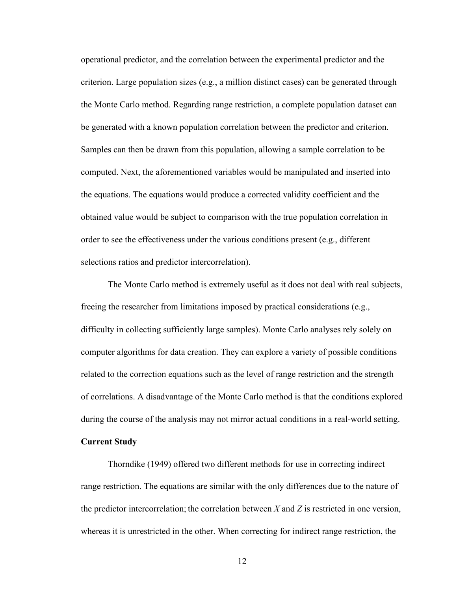operational predictor, and the correlation between the experimental predictor and the criterion. Large population sizes (e.g., a million distinct cases) can be generated through the Monte Carlo method. Regarding range restriction, a complete population dataset can be generated with a known population correlation between the predictor and criterion. Samples can then be drawn from this population, allowing a sample correlation to be computed. Next, the aforementioned variables would be manipulated and inserted into the equations. The equations would produce a corrected validity coefficient and the obtained value would be subject to comparison with the true population correlation in order to see the effectiveness under the various conditions present (e.g., different selections ratios and predictor intercorrelation).

The Monte Carlo method is extremely useful as it does not deal with real subjects, freeing the researcher from limitations imposed by practical considerations (e.g., difficulty in collecting sufficiently large samples). Monte Carlo analyses rely solely on computer algorithms for data creation. They can explore a variety of possible conditions related to the correction equations such as the level of range restriction and the strength of correlations. A disadvantage of the Monte Carlo method is that the conditions explored during the course of the analysis may not mirror actual conditions in a real-world setting.

#### **Current Study**

Thorndike (1949) offered two different methods for use in correcting indirect range restriction. The equations are similar with the only differences due to the nature of the predictor intercorrelation; the correlation between *X* and *Z* is restricted in one version, whereas it is unrestricted in the other. When correcting for indirect range restriction, the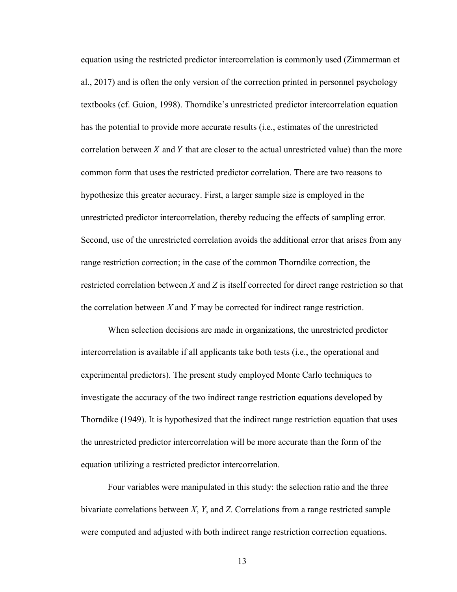equation using the restricted predictor intercorrelation is commonly used (Zimmerman et al., 2017) and is often the only version of the correction printed in personnel psychology textbooks (cf. Guion, 1998). Thorndike's unrestricted predictor intercorrelation equation has the potential to provide more accurate results (i.e., estimates of the unrestricted correlation between  $X$  and  $Y$  that are closer to the actual unrestricted value) than the more common form that uses the restricted predictor correlation. There are two reasons to hypothesize this greater accuracy. First, a larger sample size is employed in the unrestricted predictor intercorrelation, thereby reducing the effects of sampling error. Second, use of the unrestricted correlation avoids the additional error that arises from any range restriction correction; in the case of the common Thorndike correction, the restricted correlation between *X* and *Z* is itself corrected for direct range restriction so that the correlation between *X* and *Y* may be corrected for indirect range restriction.

When selection decisions are made in organizations, the unrestricted predictor intercorrelation is available if all applicants take both tests (i.e., the operational and experimental predictors). The present study employed Monte Carlo techniques to investigate the accuracy of the two indirect range restriction equations developed by Thorndike (1949). It is hypothesized that the indirect range restriction equation that uses the unrestricted predictor intercorrelation will be more accurate than the form of the equation utilizing a restricted predictor intercorrelation.

Four variables were manipulated in this study: the selection ratio and the three bivariate correlations between *X*, *Y*, and *Z*. Correlations from a range restricted sample were computed and adjusted with both indirect range restriction correction equations.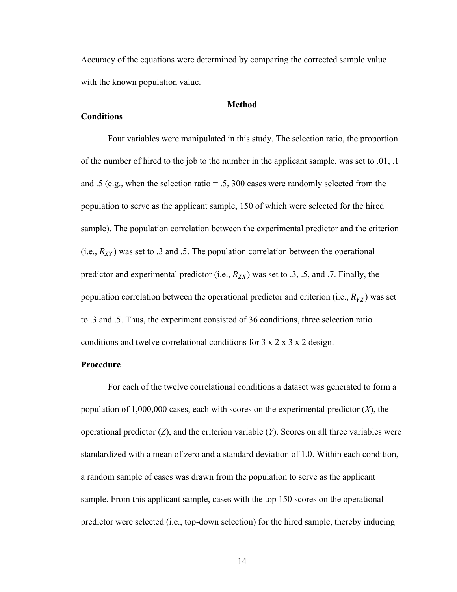Accuracy of the equations were determined by comparing the corrected sample value with the known population value.

#### **Method**

#### **Conditions**

Four variables were manipulated in this study. The selection ratio, the proportion of the number of hired to the job to the number in the applicant sample, was set to .01, .1 and .5 (e.g., when the selection ratio  $= .5, 300$  cases were randomly selected from the population to serve as the applicant sample, 150 of which were selected for the hired sample). The population correlation between the experimental predictor and the criterion (i.e.,  $R_{XY}$ ) was set to .3 and .5. The population correlation between the operational predictor and experimental predictor (i.e.,  $R_{ZX}$ ) was set to .3, .5, and .7. Finally, the population correlation between the operational predictor and criterion (i.e.,  $R_{YZ}$ ) was set to .3 and .5. Thus, the experiment consisted of 36 conditions, three selection ratio conditions and twelve correlational conditions for 3 x 2 x 3 x 2 design.

#### **Procedure**

For each of the twelve correlational conditions a dataset was generated to form a population of 1,000,000 cases, each with scores on the experimental predictor (*X*), the operational predictor  $(Z)$ , and the criterion variable  $(Y)$ . Scores on all three variables were standardized with a mean of zero and a standard deviation of 1.0. Within each condition, a random sample of cases was drawn from the population to serve as the applicant sample. From this applicant sample, cases with the top 150 scores on the operational predictor were selected (i.e., top-down selection) for the hired sample, thereby inducing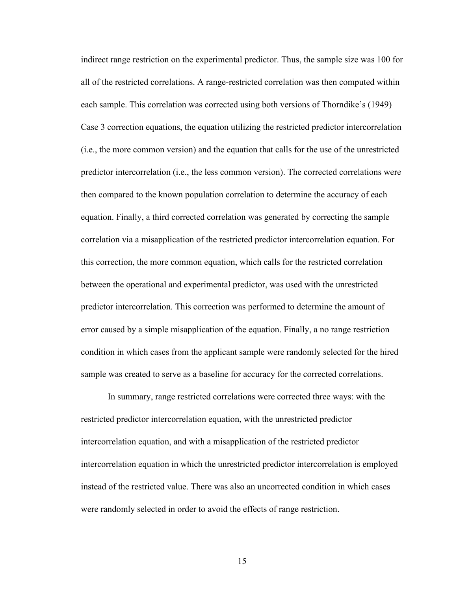indirect range restriction on the experimental predictor. Thus, the sample size was 100 for all of the restricted correlations. A range-restricted correlation was then computed within each sample. This correlation was corrected using both versions of Thorndike's (1949) Case 3 correction equations, the equation utilizing the restricted predictor intercorrelation (i.e., the more common version) and the equation that calls for the use of the unrestricted predictor intercorrelation (i.e., the less common version). The corrected correlations were then compared to the known population correlation to determine the accuracy of each equation. Finally, a third corrected correlation was generated by correcting the sample correlation via a misapplication of the restricted predictor intercorrelation equation. For this correction, the more common equation, which calls for the restricted correlation between the operational and experimental predictor, was used with the unrestricted predictor intercorrelation. This correction was performed to determine the amount of error caused by a simple misapplication of the equation. Finally, a no range restriction condition in which cases from the applicant sample were randomly selected for the hired sample was created to serve as a baseline for accuracy for the corrected correlations.

In summary, range restricted correlations were corrected three ways: with the restricted predictor intercorrelation equation, with the unrestricted predictor intercorrelation equation, and with a misapplication of the restricted predictor intercorrelation equation in which the unrestricted predictor intercorrelation is employed instead of the restricted value. There was also an uncorrected condition in which cases were randomly selected in order to avoid the effects of range restriction.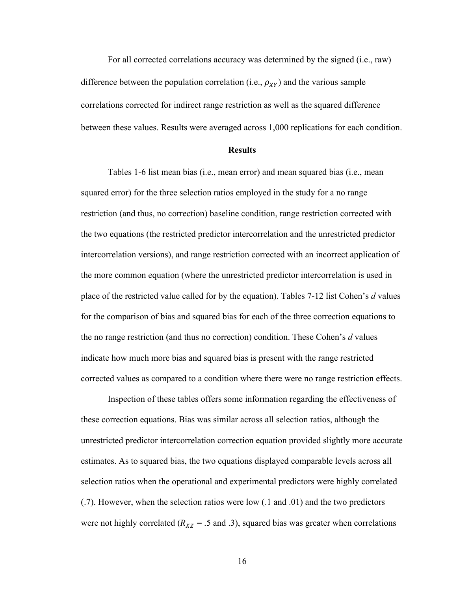For all corrected correlations accuracy was determined by the signed (i.e., raw) difference between the population correlation (i.e.,  $\rho_{XY}$ ) and the various sample correlations corrected for indirect range restriction as well as the squared difference between these values. Results were averaged across 1,000 replications for each condition.

#### **Results**

Tables 1-6 list mean bias (i.e., mean error) and mean squared bias (i.e., mean squared error) for the three selection ratios employed in the study for a no range restriction (and thus, no correction) baseline condition, range restriction corrected with the two equations (the restricted predictor intercorrelation and the unrestricted predictor intercorrelation versions), and range restriction corrected with an incorrect application of the more common equation (where the unrestricted predictor intercorrelation is used in place of the restricted value called for by the equation). Tables 7-12 list Cohen's *d* values for the comparison of bias and squared bias for each of the three correction equations to the no range restriction (and thus no correction) condition. These Cohen's *d* values indicate how much more bias and squared bias is present with the range restricted corrected values as compared to a condition where there were no range restriction effects.

Inspection of these tables offers some information regarding the effectiveness of these correction equations. Bias was similar across all selection ratios, although the unrestricted predictor intercorrelation correction equation provided slightly more accurate estimates. As to squared bias, the two equations displayed comparable levels across all selection ratios when the operational and experimental predictors were highly correlated (.7). However, when the selection ratios were low (.1 and .01) and the two predictors were not highly correlated ( $R_{XZ}$  = .5 and .3), squared bias was greater when correlations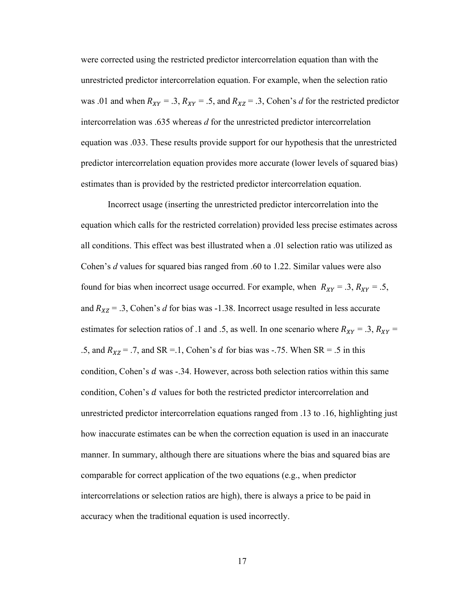were corrected using the restricted predictor intercorrelation equation than with the unrestricted predictor intercorrelation equation. For example, when the selection ratio was .01 and when  $R_{XY} = .3$ ,  $R_{XY} = .5$ , and  $R_{XZ} = .3$ , Cohen's *d* for the restricted predictor intercorrelation was .635 whereas *d* for the unrestricted predictor intercorrelation equation was .033. These results provide support for our hypothesis that the unrestricted predictor intercorrelation equation provides more accurate (lower levels of squared bias) estimates than is provided by the restricted predictor intercorrelation equation.

Incorrect usage (inserting the unrestricted predictor intercorrelation into the equation which calls for the restricted correlation) provided less precise estimates across all conditions. This effect was best illustrated when a .01 selection ratio was utilized as Cohen's *d* values for squared bias ranged from .60 to 1.22. Similar values were also found for bias when incorrect usage occurred. For example, when  $R_{XY} = .3, R_{XY} = .5,$ and  $R_{XZ} = .3$ , Cohen's *d* for bias was -1.38. Incorrect usage resulted in less accurate estimates for selection ratios of .1 and .5, as well. In one scenario where  $R_{XY} = .3, R_{XY} =$ .5, and  $R_{XZ} = .7$ , and SR = .1, Cohen's d for bias was -.75. When SR = .5 in this condition, Cohen's  $d$  was  $-34$ . However, across both selection ratios within this same condition, Cohen's  $d$  values for both the restricted predictor intercorrelation and unrestricted predictor intercorrelation equations ranged from .13 to .16, highlighting just how inaccurate estimates can be when the correction equation is used in an inaccurate manner. In summary, although there are situations where the bias and squared bias are comparable for correct application of the two equations (e.g., when predictor intercorrelations or selection ratios are high), there is always a price to be paid in accuracy when the traditional equation is used incorrectly.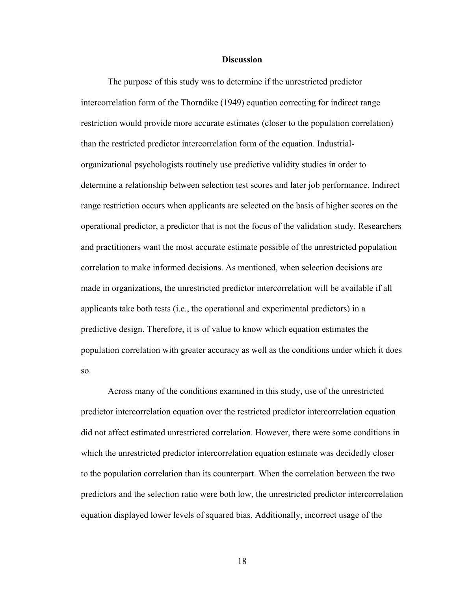#### **Discussion**

The purpose of this study was to determine if the unrestricted predictor intercorrelation form of the Thorndike (1949) equation correcting for indirect range restriction would provide more accurate estimates (closer to the population correlation) than the restricted predictor intercorrelation form of the equation. Industrialorganizational psychologists routinely use predictive validity studies in order to determine a relationship between selection test scores and later job performance. Indirect range restriction occurs when applicants are selected on the basis of higher scores on the operational predictor, a predictor that is not the focus of the validation study. Researchers and practitioners want the most accurate estimate possible of the unrestricted population correlation to make informed decisions. As mentioned, when selection decisions are made in organizations, the unrestricted predictor intercorrelation will be available if all applicants take both tests (i.e., the operational and experimental predictors) in a predictive design. Therefore, it is of value to know which equation estimates the population correlation with greater accuracy as well as the conditions under which it does so.

Across many of the conditions examined in this study, use of the unrestricted predictor intercorrelation equation over the restricted predictor intercorrelation equation did not affect estimated unrestricted correlation. However, there were some conditions in which the unrestricted predictor intercorrelation equation estimate was decidedly closer to the population correlation than its counterpart. When the correlation between the two predictors and the selection ratio were both low, the unrestricted predictor intercorrelation equation displayed lower levels of squared bias. Additionally, incorrect usage of the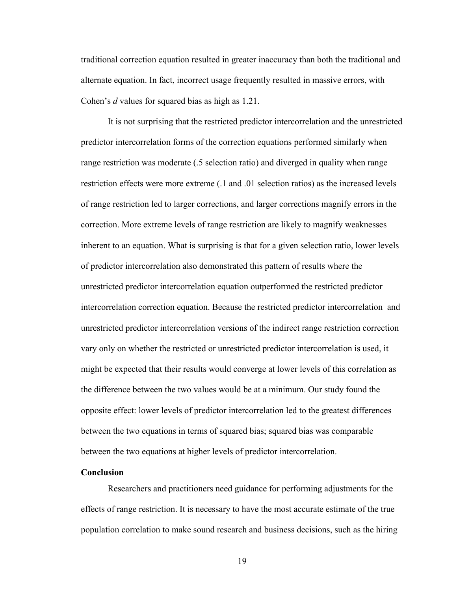traditional correction equation resulted in greater inaccuracy than both the traditional and alternate equation. In fact, incorrect usage frequently resulted in massive errors, with Cohen's *d* values for squared bias as high as 1.21.

It is not surprising that the restricted predictor intercorrelation and the unrestricted predictor intercorrelation forms of the correction equations performed similarly when range restriction was moderate (.5 selection ratio) and diverged in quality when range restriction effects were more extreme (.1 and .01 selection ratios) as the increased levels of range restriction led to larger corrections, and larger corrections magnify errors in the correction. More extreme levels of range restriction are likely to magnify weaknesses inherent to an equation. What is surprising is that for a given selection ratio, lower levels of predictor intercorrelation also demonstrated this pattern of results where the unrestricted predictor intercorrelation equation outperformed the restricted predictor intercorrelation correction equation. Because the restricted predictor intercorrelation and unrestricted predictor intercorrelation versions of the indirect range restriction correction vary only on whether the restricted or unrestricted predictor intercorrelation is used, it might be expected that their results would converge at lower levels of this correlation as the difference between the two values would be at a minimum. Our study found the opposite effect: lower levels of predictor intercorrelation led to the greatest differences between the two equations in terms of squared bias; squared bias was comparable between the two equations at higher levels of predictor intercorrelation.

#### **Conclusion**

Researchers and practitioners need guidance for performing adjustments for the effects of range restriction. It is necessary to have the most accurate estimate of the true population correlation to make sound research and business decisions, such as the hiring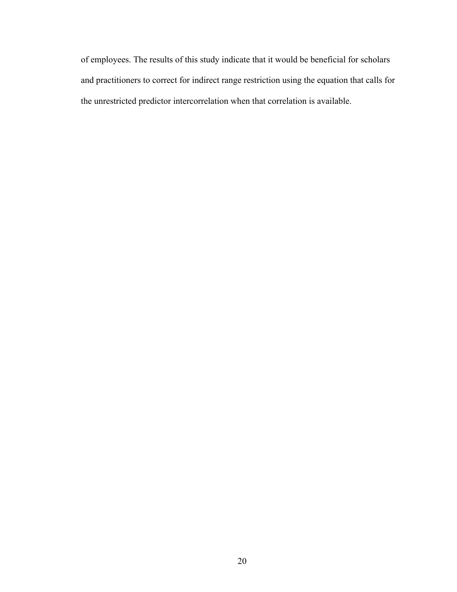of employees. The results of this study indicate that it would be beneficial for scholars and practitioners to correct for indirect range restriction using the equation that calls for the unrestricted predictor intercorrelation when that correlation is available.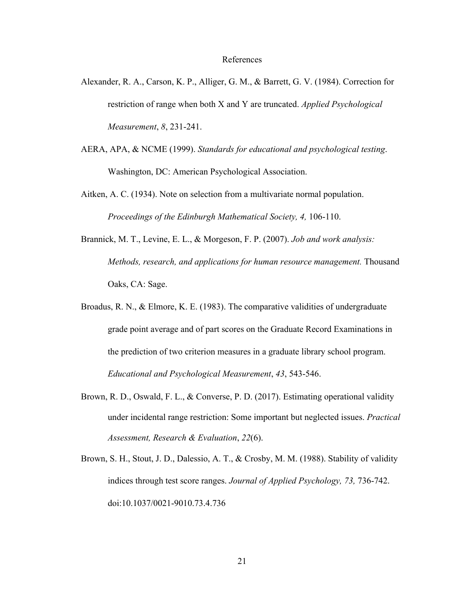#### References

- Alexander, R. A., Carson, K. P., Alliger, G. M., & Barrett, G. V. (1984). Correction for restriction of range when both X and Y are truncated. *Applied Psychological Measurement*, *8*, 231-241.
- AERA, APA, & NCME (1999). *Standards for educational and psychological testing*. Washington, DC: American Psychological Association.
- Aitken, A. C. (1934). Note on selection from a multivariate normal population. *Proceedings of the Edinburgh Mathematical Society, 4,* 106-110.
- Brannick, M. T., Levine, E. L., & Morgeson, F. P. (2007). *Job and work analysis: Methods, research, and applications for human resource management.* Thousand Oaks, CA: Sage.
- Broadus, R. N., & Elmore, K. E. (1983). The comparative validities of undergraduate grade point average and of part scores on the Graduate Record Examinations in the prediction of two criterion measures in a graduate library school program. *Educational and Psychological Measurement*, *43*, 543-546.
- Brown, R. D., Oswald, F. L., & Converse, P. D. (2017). Estimating operational validity under incidental range restriction: Some important but neglected issues. *Practical Assessment, Research & Evaluation*, *22*(6).
- Brown, S. H., Stout, J. D., Dalessio, A. T., & Crosby, M. M. (1988). Stability of validity indices through test score ranges. *Journal of Applied Psychology, 73,* 736-742. doi:10.1037/0021-9010.73.4.736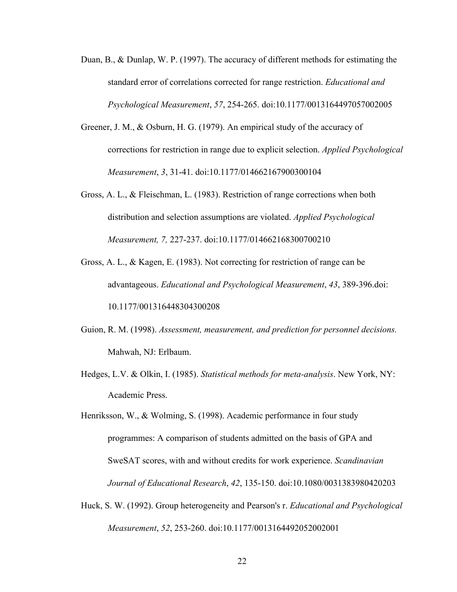- Duan, B., & Dunlap, W. P. (1997). The accuracy of different methods for estimating the standard error of correlations corrected for range restriction. *Educational and Psychological Measurement*, *57*, 254-265. doi:10.1177/0013164497057002005
- Greener, J. M., & Osburn, H. G. (1979). An empirical study of the accuracy of corrections for restriction in range due to explicit selection. *Applied Psychological Measurement*, *3*, 31-41. doi:10.1177/014662167900300104
- Gross, A. L., & Fleischman, L. (1983). Restriction of range corrections when both distribution and selection assumptions are violated. *Applied Psychological Measurement, 7,* 227-237. doi:10.1177/014662168300700210
- Gross, A. L., & Kagen, E. (1983). Not correcting for restriction of range can be advantageous. *Educational and Psychological Measurement*, *43*, 389-396.doi: 10.1177/001316448304300208
- Guion, R. M. (1998). *Assessment, measurement, and prediction for personnel decisions.* Mahwah, NJ: Erlbaum.
- Hedges, L.V. & Olkin, I. (1985). *Statistical methods for meta-analysis*. New York, NY: Academic Press.

Henriksson, W., & Wolming, S. (1998). Academic performance in four study programmes: A comparison of students admitted on the basis of GPA and SweSAT scores, with and without credits for work experience. *Scandinavian Journal of Educational Research*, *42*, 135-150. doi:10.1080/0031383980420203

Huck, S. W. (1992). Group heterogeneity and Pearson's r. *Educational and Psychological Measurement*, *52*, 253-260. doi:10.1177/0013164492052002001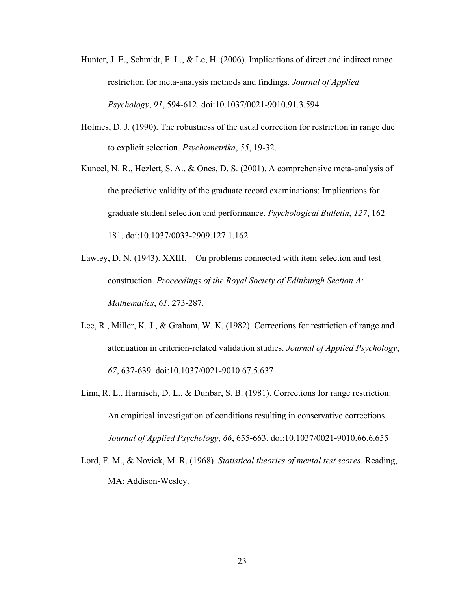- Hunter, J. E., Schmidt, F. L., & Le, H. (2006). Implications of direct and indirect range restriction for meta-analysis methods and findings. *Journal of Applied Psychology*, *91*, 594-612. doi:10.1037/0021-9010.91.3.594
- Holmes, D. J. (1990). The robustness of the usual correction for restriction in range due to explicit selection. *Psychometrika*, *55*, 19-32.
- Kuncel, N. R., Hezlett, S. A., & Ones, D. S. (2001). A comprehensive meta-analysis of the predictive validity of the graduate record examinations: Implications for graduate student selection and performance. *Psychological Bulletin*, *127*, 162- 181. doi:10.1037/0033-2909.127.1.162
- Lawley, D. N. (1943). XXIII.—On problems connected with item selection and test construction. *Proceedings of the Royal Society of Edinburgh Section A: Mathematics*, *61*, 273-287.
- Lee, R., Miller, K. J., & Graham, W. K. (1982). Corrections for restriction of range and attenuation in criterion-related validation studies. *Journal of Applied Psychology*, *67*, 637-639. doi:10.1037/0021-9010.67.5.637
- Linn, R. L., Harnisch, D. L., & Dunbar, S. B. (1981). Corrections for range restriction: An empirical investigation of conditions resulting in conservative corrections. *Journal of Applied Psychology*, *66*, 655-663. doi:10.1037/0021-9010.66.6.655
- Lord, F. M., & Novick, M. R. (1968). *Statistical theories of mental test scores*. Reading, MA: Addison-Wesley.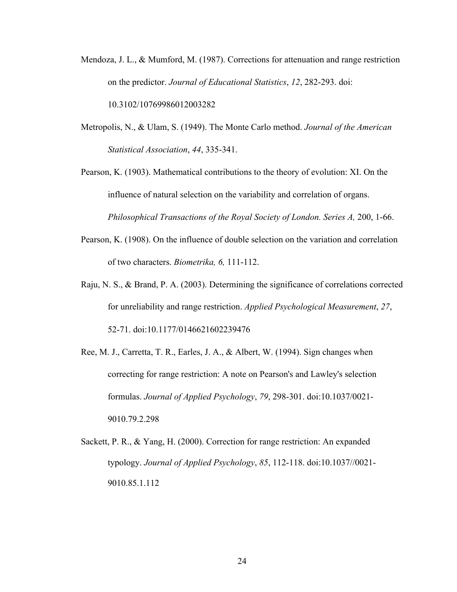- Mendoza, J. L., & Mumford, M. (1987). Corrections for attenuation and range restriction on the predictor. *Journal of Educational Statistics*, *12*, 282-293. doi: 10.3102/10769986012003282
- Metropolis, N., & Ulam, S. (1949). The Monte Carlo method. *Journal of the American Statistical Association*, *44*, 335-341.
- Pearson, K. (1903). Mathematical contributions to the theory of evolution: XI. On the influence of natural selection on the variability and correlation of organs. *Philosophical Transactions of the Royal Society of London. Series A,* 200, 1-66.
- Pearson, K. (1908). On the influence of double selection on the variation and correlation of two characters. *Biometrika, 6,* 111-112.
- Raju, N. S., & Brand, P. A. (2003). Determining the significance of correlations corrected for unreliability and range restriction. *Applied Psychological Measurement*, *27*, 52-71. doi:10.1177/0146621602239476
- Ree, M. J., Carretta, T. R., Earles, J. A., & Albert, W. (1994). Sign changes when correcting for range restriction: A note on Pearson's and Lawley's selection formulas. *Journal of Applied Psychology*, *79*, 298-301. doi:10.1037/0021- 9010.79.2.298
- Sackett, P. R., & Yang, H. (2000). Correction for range restriction: An expanded typology. *Journal of Applied Psychology*, *85*, 112-118. doi:10.1037//0021- 9010.85.1.112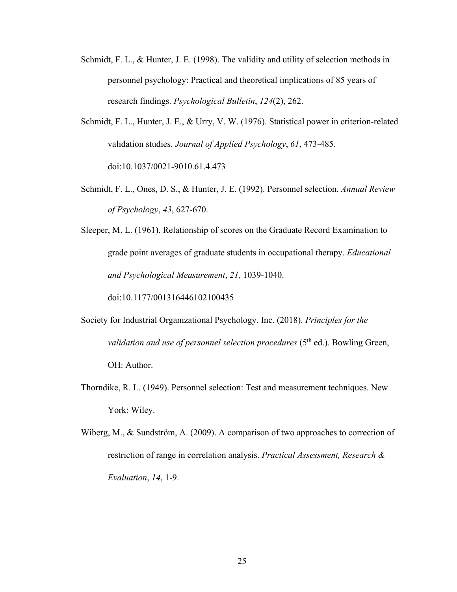- Schmidt, F. L., & Hunter, J. E. (1998). The validity and utility of selection methods in personnel psychology: Practical and theoretical implications of 85 years of research findings. *Psychological Bulletin*, *124*(2), 262.
- Schmidt, F. L., Hunter, J. E., & Urry, V. W. (1976). Statistical power in criterion-related validation studies. *Journal of Applied Psychology*, *61*, 473-485. doi:10.1037/0021-9010.61.4.473
- Schmidt, F. L., Ones, D. S., & Hunter, J. E. (1992). Personnel selection. *Annual Review of Psychology*, *43*, 627-670.

Sleeper, M. L. (1961). Relationship of scores on the Graduate Record Examination to grade point averages of graduate students in occupational therapy. *Educational and Psychological Measurement*, *21,* 1039-1040.

doi:10.1177/001316446102100435

- Society for Industrial Organizational Psychology, Inc. (2018). *Principles for the validation and use of personnel selection procedures* (5<sup>th</sup> ed.). Bowling Green, OH: Author.
- Thorndike, R. L. (1949). Personnel selection: Test and measurement techniques. New York: Wiley.
- Wiberg, M., & Sundström, A. (2009). A comparison of two approaches to correction of restriction of range in correlation analysis. *Practical Assessment, Research & Evaluation*, *14*, 1-9.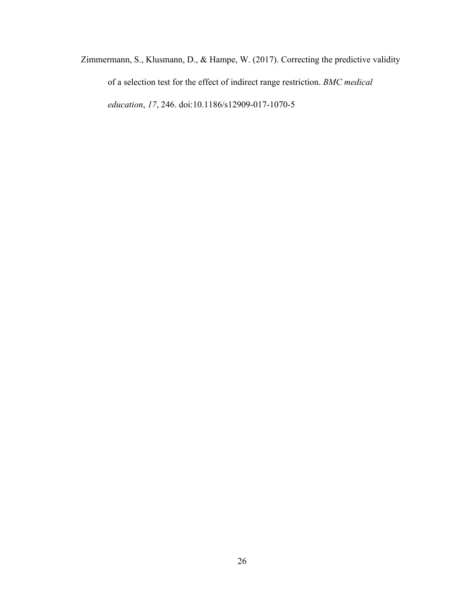Zimmermann, S., Klusmann, D., & Hampe, W. (2017). Correcting the predictive validity of a selection test for the effect of indirect range restriction. *BMC medical education*, *17*, 246. doi:10.1186/s12909-017-1070-5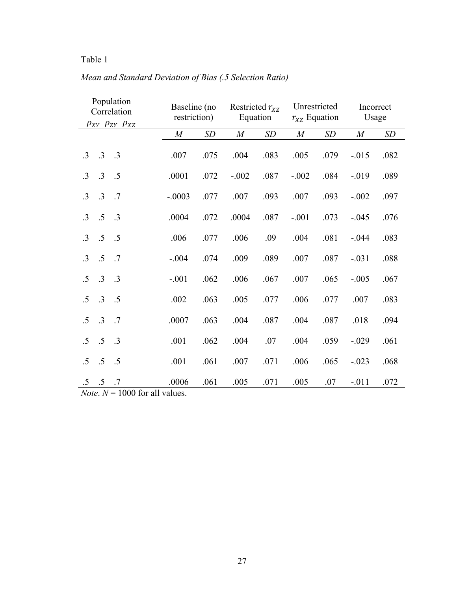| Population<br>Correlation<br>$\rho_{XY}$ $\rho_{ZY}$ $\rho_{XZ}$ | Baseline (no<br>restriction) |      | Restricted $r_{XZ}$<br>Equation |             | Unrestricted<br>$r_{XZ}$ Equation |      | Incorrect<br>Usage |      |
|------------------------------------------------------------------|------------------------------|------|---------------------------------|-------------|-----------------------------------|------|--------------------|------|
|                                                                  | $\cal M$                     | SD   | M                               | $\sqrt{SD}$ | $\cal M$                          | SD   | $\cal M$           | SD   |
| $\cdot$ 3<br>$\cdot$ .3<br>$\cdot$ 3                             | .007                         | .075 | .004                            | .083        | .005                              | .079 | $-.015$            | .082 |
| $\cdot$ 3<br>.5<br>$\cdot$ 3                                     | .0001                        | .072 | $-.002$                         | .087        | $-.002$                           | .084 | $-.019$            | .089 |
| $\cdot$ 3<br>$\cdot$ 3<br>.7                                     | $-.0003$                     | .077 | .007                            | .093        | .007                              | .093 | $-.002$            | .097 |
| $\cdot$ 3<br>$.5\,$<br>$\cdot$ 3                                 | .0004                        | .072 | .0004                           | .087        | $-.001$                           | .073 | $-.045$            | .076 |
| $.5\,$<br>.5<br>$\cdot$ 3                                        | .006                         | .077 | .006                            | .09         | .004                              | .081 | $-.044$            | .083 |
| $\cdot$ 3<br>.5<br>.7                                            | $-.004$                      | .074 | .009                            | .089        | .007                              | .087 | $-.031$            | .088 |
| .5<br>.3<br>$\cdot$ .3                                           | $-.001$                      | .062 | .006                            | .067        | .007                              | .065 | $-.005$            | .067 |
| .5<br>.3<br>$\cdot$ .5                                           | .002                         | .063 | .005                            | .077        | .006                              | .077 | .007               | .083 |
| $\cdot$ 3<br>$\cdot$ .7<br>$\cdot$ .5                            | .0007                        | .063 | .004                            | .087        | .004                              | .087 | .018               | .094 |
| .5<br>$.5\,$<br>$\cdot$ .3                                       | .001                         | .062 | .004                            | .07         | .004                              | .059 | $-.029$            | .061 |
| .5<br>.5<br>.5                                                   | .001                         | .061 | .007                            | .071        | .006                              | .065 | $-.023$            | .068 |
| .5<br>$.5\,$<br>.7<br><i>Note</i> , $N = 1000$ for all values.   | .0006                        | .061 | .005                            | .071        | .005                              | .07  | $-.011$            | .072 |

*Mean and Standard Deviation of Bias (.5 Selection Ratio)*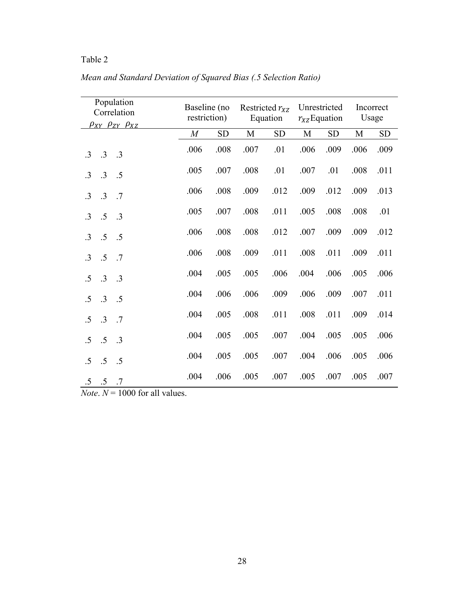| Population<br>Correlation<br>$\rho_{XY}$ $\rho_{ZY}$ $\rho_{XZ}$ | Baseline (no<br>restriction) |      | Restricted $r_{XZ}$<br>Equation |      | Unrestricted<br>$r_{XZ}$ Equation |      | Incorrect<br>Usage |            |
|------------------------------------------------------------------|------------------------------|------|---------------------------------|------|-----------------------------------|------|--------------------|------------|
|                                                                  | $\cal M$                     | SD   | $\mathbf M$                     | SD   | M                                 | SD   | $\mathbf M$        | ${\rm SD}$ |
| .3<br>$\cdot$ 3<br>$\cdot$ 3                                     | .006                         | .008 | .007                            | .01  | .006                              | .009 | .006               | .009       |
| .3<br>$\cdot$ 3<br>.5                                            | .005                         | .007 | .008                            | .01  | .007                              | .01  | .008               | .011       |
| .3<br>$\cdot$ 3<br>.7                                            | .006                         | .008 | .009                            | .012 | .009                              | .012 | .009               | .013       |
| .5<br>$\cdot$ 3<br>$\cdot$ 3                                     | .005                         | .007 | .008                            | .011 | .005                              | .008 | .008               | .01        |
| .5<br>.5<br>$\cdot$ 3                                            | .006                         | .008 | .008                            | .012 | .007                              | .009 | .009               | .012       |
| .5<br>.7<br>$\cdot$ 3                                            | .006                         | .008 | .009                            | .011 | .008                              | .011 | .009               | .011       |
| $\cdot$ 3<br>$\cdot$ 3<br>.5                                     | .004                         | .005 | .005                            | .006 | .004                              | .006 | .005               | .006       |
| .3<br>.5<br>.5                                                   | .004                         | .006 | .006                            | .009 | .006                              | .009 | .007               | .011       |
| .3<br>.7<br>.5                                                   | .004                         | .005 | .008                            | .011 | .008                              | .011 | .009               | .014       |
| .5<br>.3<br>.5                                                   | .004                         | .005 | .005                            | .007 | .004                              | .005 | .005               | .006       |
| .5<br>.5<br>.5                                                   | .004                         | .005 | .005                            | .007 | .004                              | .006 | .005               | .006       |
| $.5\,$<br>$.5\,$<br>.7                                           | .004                         | .006 | .005                            | .007 | .005                              | .007 | .005               | .007       |

*Mean and Standard Deviation of Squared Bias (.5 Selection Ratio)*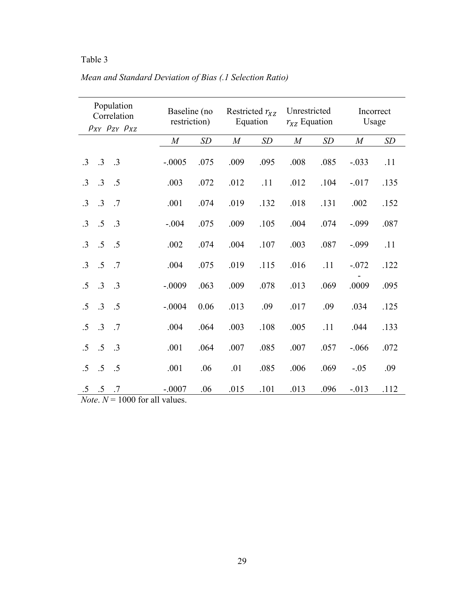|           |                 | Population<br>Correlation<br>$\rho_{XY}$ $\rho_{ZY}$ $\rho_{XZ}$ | Baseline (no<br>restriction) |      | Restricted $r_{XZ}$<br>Equation |      | Unrestricted<br>$r_{XZ}$ Equation |      | Incorrect<br>Usage |      |
|-----------|-----------------|------------------------------------------------------------------|------------------------------|------|---------------------------------|------|-----------------------------------|------|--------------------|------|
|           |                 |                                                                  | $\cal M$                     | SD   | $\cal M$                        | SD   | M                                 | SD   | $\cal M$           | SD   |
| $\cdot$ 3 | .3              | $\cdot$ .3                                                       | $-.0005$                     | .075 | .009                            | .095 | .008                              | .085 | $-.033$            | .11  |
| $\cdot$ 3 | $.3\phantom{0}$ | $\cdot$ .5                                                       | .003                         | .072 | .012                            | .11  | .012                              | .104 | $-.017$            | .135 |
| $\cdot$ 3 | .3              | $\cdot$ .7                                                       | .001                         | .074 | .019                            | .132 | .018                              | .131 | .002               | .152 |
| $\cdot$ 3 | $.5\,$          | $\cdot$ .3                                                       | $-.004$                      | .075 | .009                            | .105 | .004                              | .074 | $-.099$            | .087 |
| $\cdot$ 3 | $.5\,$          | $\cdot$ .5                                                       | .002                         | .074 | .004                            | .107 | .003                              | .087 | $-.099$            | .11  |
| $\cdot$ 3 | .5              | $\cdot$ .7                                                       | .004                         | .075 | .019                            | .115 | .016                              | .11  | $-.072$            | .122 |
| .5        | .3              | .3                                                               | $-.0009$                     | .063 | .009                            | .078 | .013                              | .069 | .0009              | .095 |
| .5        | $.3\phantom{0}$ | $\cdot$ .5                                                       | $-.0004$                     | 0.06 | .013                            | .09  | .017                              | .09  | .034               | .125 |
| .5        | .3              | $\cdot$ .7                                                       | .004                         | .064 | .003                            | .108 | .005                              | .11  | .044               | .133 |
| .5        | .5              | $\cdot$ .3                                                       | .001                         | .064 | .007                            | .085 | .007                              | .057 | $-.066$            | .072 |
| .5        | .5              | $\cdot$ .5                                                       | .001                         | .06  | .01                             | .085 | .006                              | .069 | $-.05$             | .09  |
| $.5\,$    | $.5 \t .7$      | $N_{\text{etc}}$ $N = 1000$ for all values                       | $-.0007$                     | .06  | .015                            | .101 | .013                              | .096 | $-.013$            | .112 |

## *Mean and Standard Deviation of Bias (.1 Selection Ratio)*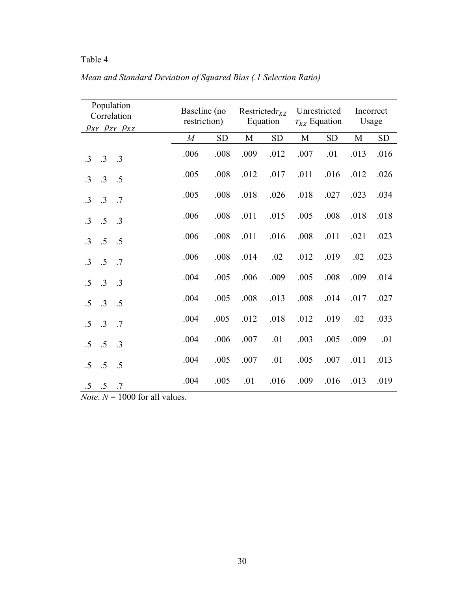| Population<br>Correlation<br>$\rho_{XY}$ $\rho_{ZY}$ $\rho_{XZ}$ | Baseline (no<br>restriction) |      | Restricted $r_{\text{XZ}}$<br>Equation |      | Unrestricted<br>$r_{XZ}$ Equation |            | Incorrect<br>Usage |            |
|------------------------------------------------------------------|------------------------------|------|----------------------------------------|------|-----------------------------------|------------|--------------------|------------|
|                                                                  | $\boldsymbol{M}$             | SD   | $\mathbf M$                            | SD   | M                                 | ${\rm SD}$ | $\mathbf M$        | ${\rm SD}$ |
| $\cdot$ 3<br>$\cdot$ 3<br>$\cdot$ .3                             | .006                         | .008 | .009                                   | .012 | .007                              | .01        | .013               | .016       |
| .3<br>$\cdot$ 3<br>.5                                            | .005                         | .008 | .012                                   | .017 | .011                              | .016       | .012               | .026       |
| .3<br>$\cdot$ 3<br>.7                                            | .005                         | .008 | .018                                   | .026 | .018                              | .027       | .023               | .034       |
| $.5\,$<br>$\cdot$ 3<br>$\cdot$ .3                                | .006                         | .008 | .011                                   | .015 | .005                              | .008       | .018               | .018       |
| $.5\,$<br>$\cdot$ .5<br>$\cdot$ 3                                | .006                         | .008 | .011                                   | .016 | .008                              | .011       | .021               | .023       |
| .5<br>.7<br>$\cdot$ 3                                            | .006                         | .008 | .014                                   | .02  | .012                              | .019       | .02                | .023       |
| .3<br>$\cdot$ 3<br>.5                                            | .004                         | .005 | .006                                   | .009 | .005                              | .008       | .009               | .014       |
| .3<br>.5<br>$\cdot$ .5                                           | .004                         | .005 | .008                                   | .013 | .008                              | .014       | .017               | .027       |
| .3<br>$\cdot$ .7<br>.5                                           | .004                         | .005 | .012                                   | .018 | .012                              | .019       | .02                | .033       |
| .5<br>.5<br>$\cdot$ 3                                            | .004                         | .006 | .007                                   | .01  | .003                              | .005       | .009               | .01        |
| $.5\,$<br>$.5\,$<br>.5                                           | .004                         | .005 | .007                                   | .01  | .005                              | .007       | .011               | .013       |
| $.5\,$<br>$.5 \t .7$                                             | .004                         | .005 | .01                                    | .016 | .009                              | .016       | .013               | .019       |

*Mean and Standard Deviation of Squared Bias (.1 Selection Ratio)*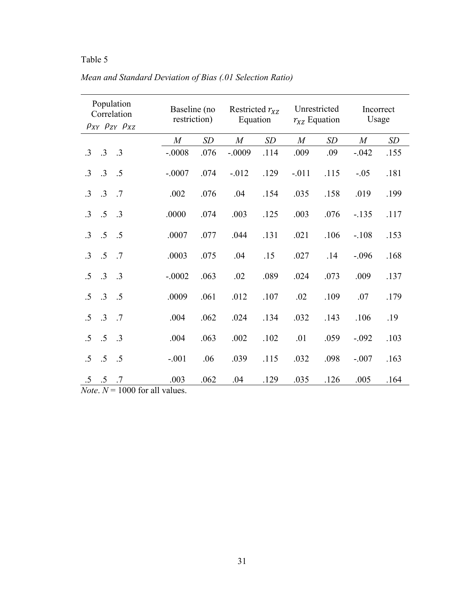|            |                  | Population<br>Correlation<br>$\rho_{XY}$ $\rho_{ZY}$ $\rho_{XZ}$ | Baseline (no<br>restriction) |      | Restricted $r_{XZ}$<br>Equation |      | Unrestricted<br>$r_{XZ}$ Equation |      | Incorrect<br>Usage |      |
|------------|------------------|------------------------------------------------------------------|------------------------------|------|---------------------------------|------|-----------------------------------|------|--------------------|------|
|            |                  |                                                                  | $\overline{M}$               | SD   | $\boldsymbol{M}$                | SD   | $\boldsymbol{M}$                  | SD   | M                  | SD   |
| $\cdot$ 3  | $\cdot$ 3        | $\cdot$ .3                                                       | $-.0008$                     | .076 | $-.0009$                        | .114 | .009                              | .09  | $-.042$            | .155 |
| $\cdot$ 3  | $\cdot$ 3        | $\cdot$ .5                                                       | $-.0007$                     | .074 | $-.012$                         | .129 | $-.011$                           | .115 | $-.05$             | .181 |
| $\cdot$ 3  | .3               | .7                                                               | .002                         | .076 | .04                             | .154 | .035                              | .158 | .019               | .199 |
| $\cdot$ 3  | $.5\,$           | $\cdot$ .3                                                       | .0000                        | .074 | .003                            | .125 | .003                              | .076 | $-.135$            | .117 |
| $\cdot$ 3  | $.5\,$           | $\cdot$ .5                                                       | .0007                        | .077 | .044                            | .131 | .021                              | .106 | $-.108$            | .153 |
| $\cdot$ 3  | .5               | .7                                                               | .0003                        | .075 | .04                             | .15  | .027                              | .14  | $-.096$            | .168 |
| .5         | $.3\phantom{0}$  | $\cdot$ .3                                                       | $-.0002$                     | .063 | .02                             | .089 | .024                              | .073 | .009               | .137 |
| $\cdot$ .5 | $\cdot$ 3        | $\cdot$ .5                                                       | .0009                        | .061 | .012                            | .107 | .02                               | .109 | .07                | .179 |
| .5         | .3               | .7                                                               | .004                         | .062 | .024                            | .134 | .032                              | .143 | .106               | .19  |
| .5         | $.5\,$           | $\cdot$ .3                                                       | .004                         | .063 | .002                            | .102 | .01                               | .059 | $-.092$            | .103 |
| .5         | $.5\,$           | .5                                                               | $-.001$                      | .06  | .039                            | .115 | .032                              | .098 | $-.007$            | .163 |
|            | $.5 \t .5 \t .7$ | $N_{\text{etc}}$ $N = 1000$ for all values                       | .003                         | .062 | .04                             | .129 | .035                              | .126 | .005               | .164 |

*Mean and Standard Deviation of Bias (.01 Selection Ratio)*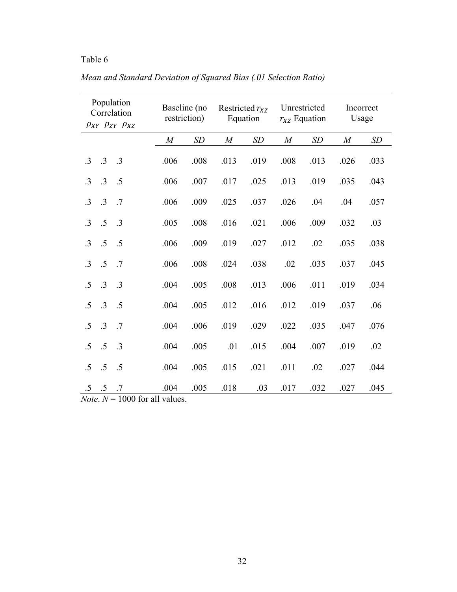|           |                  | Population<br>Correlation<br>$\rho_{XY}$ $\rho_{ZY}$ $\rho_{XZ}$ | restriction)     | Baseline (no | Restricted $r_{XZ}$<br>Equation |      | Unrestricted<br>$r_{XZ}$ Equation |      | Incorrect<br>Usage |      |
|-----------|------------------|------------------------------------------------------------------|------------------|--------------|---------------------------------|------|-----------------------------------|------|--------------------|------|
|           |                  |                                                                  | $\boldsymbol{M}$ | SD           | $\boldsymbol{M}$                | SD   | $\boldsymbol{M}$                  | SD   | $\boldsymbol{M}$   | SD   |
| $\cdot$ 3 | .3               | $\cdot$ 3                                                        | .006             | .008         | .013                            | .019 | .008                              | .013 | .026               | .033 |
| $\cdot$ 3 | $\cdot$ 3        | .5                                                               | .006             | .007         | .017                            | .025 | .013                              | .019 | .035               | .043 |
| $\cdot$ 3 | .3               | .7                                                               | .006             | .009         | .025                            | .037 | .026                              | .04  | .04                | .057 |
| $\cdot$ 3 | .5               | $\cdot$ .3                                                       | .005             | .008         | .016                            | .021 | .006                              | .009 | .032               | .03  |
| $\cdot$ 3 | .5               | .5                                                               | .006             | .009         | .019                            | .027 | .012                              | .02  | .035               | .038 |
| $\cdot$ 3 | .5               | .7                                                               | .006             | .008         | .024                            | .038 | .02                               | .035 | .037               | .045 |
| .5        | .3               | $\cdot$ 3                                                        | .004             | .005         | .008                            | .013 | .006                              | .011 | .019               | .034 |
| .5        | .3               | .5                                                               | .004             | .005         | .012                            | .016 | .012                              | .019 | .037               | .06  |
| .5        | .3               | .7                                                               | .004             | .006         | .019                            | .029 | .022                              | .035 | .047               | .076 |
| .5        | .5               | $\cdot$ 3                                                        | .004             | .005         | .01                             | .015 | .004                              | .007 | .019               | .02  |
| .5        | .5               | .5                                                               | .004             | .005         | .015                            | .021 | .011                              | .02  | .027               | .044 |
|           | $.5 \t .5 \t .7$ | $N_{\text{etc}}$ $N = 1000$ for all values                       | .004             | .005         | .018                            | .03  | .017                              | .032 | .027               | .045 |

*Mean and Standard Deviation of Squared Bias (.01 Selection Ratio)*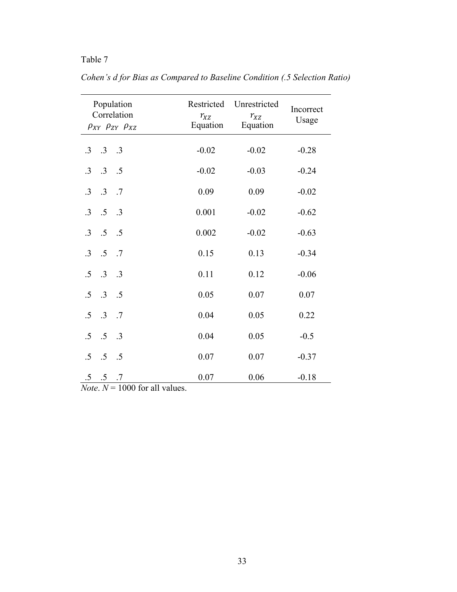|                              | Population<br>Correlation<br>$\rho_{XY}$ $\rho_{ZY}$ $\rho_{XZ}$ | Restricted<br>$r_{XZ}$<br>Equation | Unrestricted<br>$r_{XZ}$<br>Equation | Incorrect<br>Usage |
|------------------------------|------------------------------------------------------------------|------------------------------------|--------------------------------------|--------------------|
| $\cdot$ 3                    | $.3 \t .3$                                                       | $-0.02$                            | $-0.02$                              | $-0.28$            |
| $\cdot$ 3                    | $.3 \t .5$                                                       | $-0.02$                            | $-0.03$                              | $-0.24$            |
| $\cdot$ 3                    | $.3 \t .7$                                                       | 0.09                               | 0.09                                 | $-0.02$            |
| $\overline{.5}$<br>$\cdot$ 3 | .3                                                               | 0.001                              | $-0.02$                              | $-0.62$            |
| $.3 \quad .5$                | $\cdot$ .5                                                       | 0.002                              | $-0.02$                              | $-0.63$            |
| $.3 \quad .5$                | $\cdot$ .7                                                       | 0.15                               | 0.13                                 | $-0.34$            |
| $.5 \t .3$                   | $\cdot$ .3                                                       | 0.11                               | 0.12                                 | $-0.06$            |
| $\cdot$ .3<br>$.5\,$         | $\overline{5}$                                                   | 0.05                               | 0.07                                 | 0.07               |
| .3<br>$.5\,$                 | .7                                                               | 0.04                               | 0.05                                 | 0.22               |
| $.5\,$<br>$\cdot$ .5         | .3                                                               | 0.04                               | 0.05                                 | $-0.5$             |
| .5<br>$.5\,$                 | $\cdot$ .5                                                       | 0.07                               | 0.07                                 | $-0.37$            |
| $.5\,$<br>$.5\,$             | .7                                                               | 0.07                               | 0.06                                 | $-0.18$            |

*Cohen's d for Bias as Compared to Baseline Condition (.5 Selection Ratio)*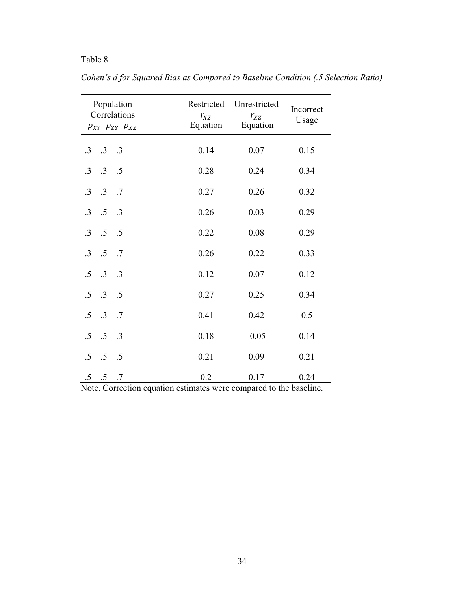| Population<br>Correlations<br>$\rho_{XY}$ $\rho_{ZY}$ $\rho_{XZ}$ | Restricted<br>$r_{XZ}$<br>Equation | Unrestricted<br>$r_{XZ}$<br>Equation | Incorrect<br>Usage |
|-------------------------------------------------------------------|------------------------------------|--------------------------------------|--------------------|
| $.3 \t .3$<br>$\cdot$ 3                                           | 0.14                               | 0.07                                 | 0.15               |
| $.3 \t .5$<br>$\cdot$ 3                                           | 0.28                               | 0.24                                 | 0.34               |
| $.3 \t .7$<br>$\cdot$ 3                                           | 0.27                               | 0.26                                 | 0.32               |
| $\overline{.5}$<br>$\cdot$ 3<br>$\cdot$ .3                        | 0.26                               | 0.03                                 | 0.29               |
| $\overline{5}$<br>$\cdot$ 3<br>$\overline{\phantom{0}}$ .5        | 0.22                               | 0.08                                 | 0.29               |
| $\cdot$ .5<br>$\cdot$ 3<br>$\cdot$ .7                             | 0.26                               | 0.22                                 | 0.33               |
| $.3 \t .3$<br>$.5\,$                                              | 0.12                               | 0.07                                 | 0.12               |
| $.3 \t .5$<br>$.5\,$                                              | 0.27                               | 0.25                                 | 0.34               |
| $\cdot$ .3<br>.5<br>$\cdot$ .7                                    | 0.41                               | 0.42                                 | 0.5                |
| $\cdot$ .5<br>.5<br>$\cdot$ .3                                    | 0.18                               | $-0.05$                              | 0.14               |
| .5<br>$.5\,$<br>$\cdot$ .5                                        | 0.21                               | 0.09                                 | 0.21               |
| $.5\,$<br>$.5 \t .7$                                              | 0.2                                | 0.17                                 | 0.24               |

*Cohen's d for Squared Bias as Compared to Baseline Condition (.5 Selection Ratio)*

Note. Correction equation estimates were compared to the baseline.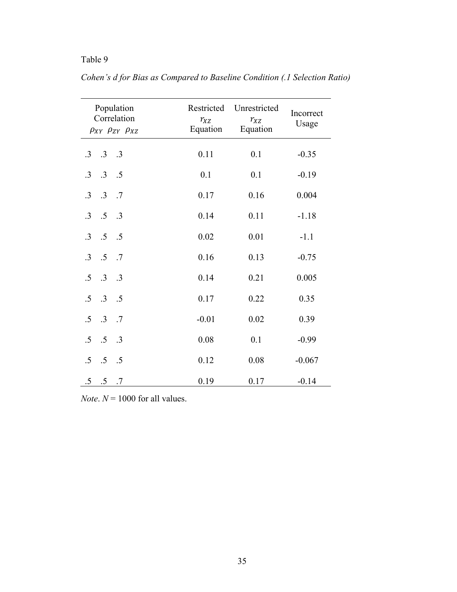| Population<br>Correlation<br>$\rho_{XY}$ $\rho_{ZY}$ $\rho_{XZ}$ | Restricted<br>$r_{XZ}$<br>Equation | Unrestricted<br>$r_{XZ}$<br>Equation | Incorrect<br>Usage |
|------------------------------------------------------------------|------------------------------------|--------------------------------------|--------------------|
| $.3 \t .3$<br>$\cdot$ 3                                          | 0.11                               | 0.1                                  | $-0.35$            |
| $\cdot$ .3<br>$\cdot$ 3<br>$\overline{5}$                        | 0.1                                | 0.1                                  | $-0.19$            |
| $.3 \t .7$<br>$\cdot$ 3                                          | 0.17                               | 0.16                                 | 0.004              |
| .5<br>$\cdot$ 3<br>.3                                            | 0.14                               | 0.11                                 | $-1.18$            |
| .5<br>$\cdot$ 3<br>.5                                            | 0.02                               | 0.01                                 | $-1.1$             |
| .5<br>$\cdot$ 3<br>$\cdot$ .7                                    | 0.16                               | 0.13                                 | $-0.75$            |
| $.3\phantom{0}$<br>$.5\,$<br>.3                                  | 0.14                               | 0.21                                 | 0.005              |
| .3<br>$.5\,$<br>$\cdot$ .5                                       | 0.17                               | 0.22                                 | 0.35               |
| .3<br>.5<br>$\cdot$ .7                                           | $-0.01$                            | 0.02                                 | 0.39               |
| .5<br>$.5\,$<br>.3                                               | 0.08                               | 0.1                                  | $-0.99$            |
| .5<br>.5<br>.5                                                   | 0.12                               | 0.08                                 | $-0.067$           |
| $.5\,$<br>$.5\,$<br>.7                                           | 0.19                               | 0.17                                 | $-0.14$            |

*Cohen's d for Bias as Compared to Baseline Condition (.1 Selection Ratio)*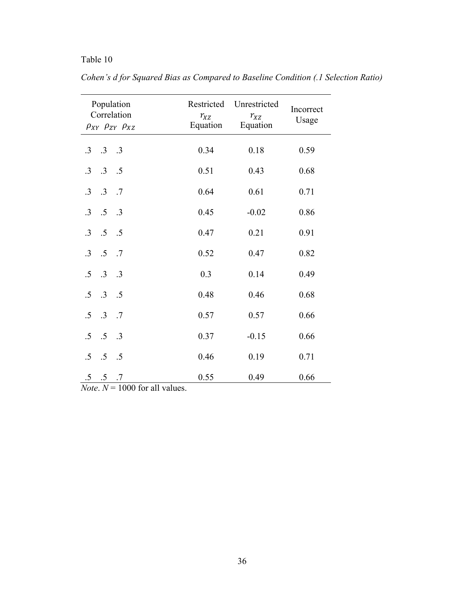|                                  | Population<br>Correlation<br>$\rho_{XY}$ $\rho_{ZY}$ $\rho_{XZ}$ | Restricted<br>$r_{XZ}$<br>Equation | Unrestricted<br>$r_{XZ}$<br>Equation | Incorrect<br>Usage |
|----------------------------------|------------------------------------------------------------------|------------------------------------|--------------------------------------|--------------------|
| $\cdot$ 3                        | $.3 \t .3$                                                       | 0.34                               | 0.18                                 | 0.59               |
| $.3\phantom{0}$<br>$\cdot$ 3     | $\cdot$ .5                                                       | 0.51                               | 0.43                                 | 0.68               |
| .3<br>$\cdot$ 3                  | $\cdot$ .7                                                       | 0.64                               | 0.61                                 | 0.71               |
| $.5\,$<br>$\cdot$ 3              | .3                                                               | 0.45                               | $-0.02$                              | 0.86               |
| $.5\,$<br>$\cdot$ 3              | $\cdot$ .5                                                       | 0.47                               | 0.21                                 | 0.91               |
| .5<br>$\cdot$ 3                  | .7                                                               | 0.52                               | 0.47                                 | 0.82               |
| $.3\phantom{0}$<br>.5            | $\cdot$ .3                                                       | 0.3                                | 0.14                                 | 0.49               |
| $\cdot$ 3<br>$.5\,$              | $\overline{5}$                                                   | 0.48                               | 0.46                                 | 0.68               |
| .3<br>.5                         | .7                                                               | 0.57                               | 0.57                                 | 0.66               |
| .5<br>.5                         | $\cdot$ .3                                                       | 0.37                               | $-0.15$                              | 0.66               |
| .5<br>$.5\,$                     | .5                                                               | 0.46                               | 0.19                                 | 0.71               |
| $.5\,$<br>$.5\,$<br>$\mathbf{r}$ | .7<br>$\overline{1000}$<br>$11 \quad 1$                          | 0.55                               | 0.49                                 | 0.66               |

*Cohen's d for Squared Bias as Compared to Baseline Condition (.1 Selection Ratio)*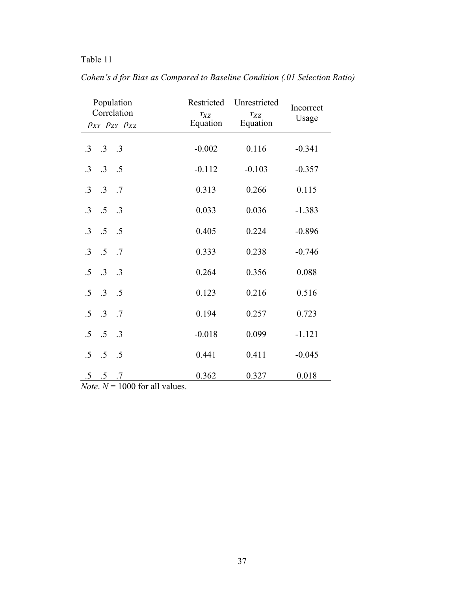| Population<br>Correlation<br>$\rho_{XY}$ $\rho_{ZY}$ $\rho_{XZ}$ |                                 |                               | Restricted<br>$r_{XZ}$<br>Equation | Unrestricted<br>$r_{XZ}$<br>Equation | Incorrect<br>Usage |
|------------------------------------------------------------------|---------------------------------|-------------------------------|------------------------------------|--------------------------------------|--------------------|
| $\cdot$ 3                                                        | $\cdot 3 \cdot 3$               |                               | $-0.002$                           | 0.116                                | $-0.341$           |
| $\cdot$ 3                                                        | $.3 \t .5$                      |                               | $-0.112$                           | $-0.103$                             | $-0.357$           |
| $\cdot$ 3                                                        | $\cdot$ .3                      | $\cdot$ .7                    | 0.313                              | 0.266                                | 0.115              |
| $\cdot$ 3                                                        | $.5 \t .3$                      |                               | 0.033                              | 0.036                                | $-1.383$           |
| $\cdot$ 3                                                        | $.5 \t .5$                      |                               | 0.405                              | 0.224                                | $-0.896$           |
| $\cdot$ 3                                                        | $.5\,$                          | .7                            | 0.333                              | 0.238                                | $-0.746$           |
| .5                                                               | $.3 \t .3$                      |                               | 0.264                              | 0.356                                | 0.088              |
| .5                                                               | $.3 \t .5$                      |                               | 0.123                              | 0.216                                | 0.516              |
| .5                                                               | .3                              | .7                            | 0.194                              | 0.257                                | 0.723              |
| .5                                                               | .5                              | .3                            | $-0.018$                           | 0.099                                | $-1.121$           |
| .5                                                               | .5                              | .5                            | 0.441                              | 0.411                                | $-0.045$           |
| $.5\,$                                                           | $.5\phantom{0}$<br>$\mathbf{r}$ | .7<br>1000c<br>11<br>$\sim$ 1 | 0.362                              | 0.327                                | 0.018              |

*Cohen's d for Bias as Compared to Baseline Condition (.01 Selection Ratio)*